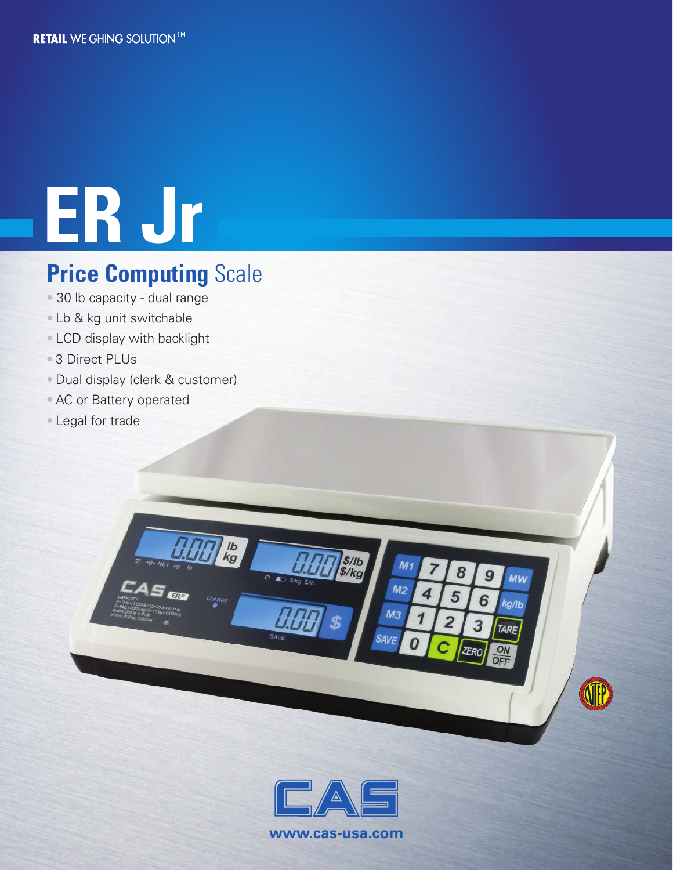# **ER Jr**

### **Price Computing Scale**

- 30 lb capacity dual range
- Lb & kg unit switchable
- LCD display with backlight
- 3 Direct PLUs
- Dual display (clerk & customer)

lb<br>kg

- AC or Battery operated
- Legal for trade



s/lb<br>\$/kg

 $M<sub>1</sub>$ 

 $M<sub>2</sub>$ 

 $M<sub>3</sub>$ 

SAVF

8

5

 $\overline{a}$ 

9

6

3

**ZERO** 

**MW** 

kg/lb

**TARE** 

**ATTP** 

ON